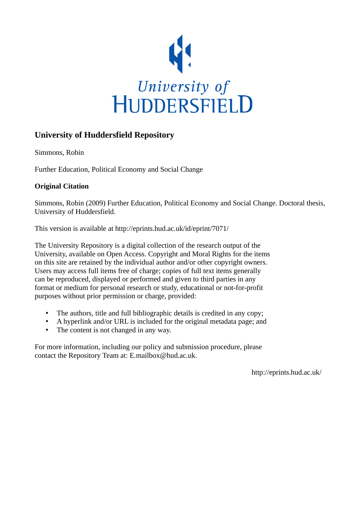

## **University of Huddersfield Repository**

Simmons, Robin

Further Education, Political Economy and Social Change

## **Original Citation**

Simmons, Robin (2009) Further Education, Political Economy and Social Change. Doctoral thesis, University of Huddersfield.

This version is available at http://eprints.hud.ac.uk/id/eprint/7071/

The University Repository is a digital collection of the research output of the University, available on Open Access. Copyright and Moral Rights for the items on this site are retained by the individual author and/or other copyright owners. Users may access full items free of charge; copies of full text items generally can be reproduced, displayed or performed and given to third parties in any format or medium for personal research or study, educational or not-for-profit purposes without prior permission or charge, provided:

- The authors, title and full bibliographic details is credited in any copy;
- A hyperlink and/or URL is included for the original metadata page; and
- The content is not changed in any way.

For more information, including our policy and submission procedure, please contact the Repository Team at: E.mailbox@hud.ac.uk.

http://eprints.hud.ac.uk/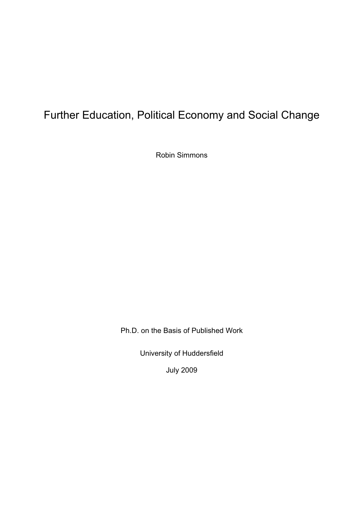# Further Education, Political Economy and Social Change

Robin Simmons

Ph.D. on the Basis of Published Work

University of Huddersfield

July 2009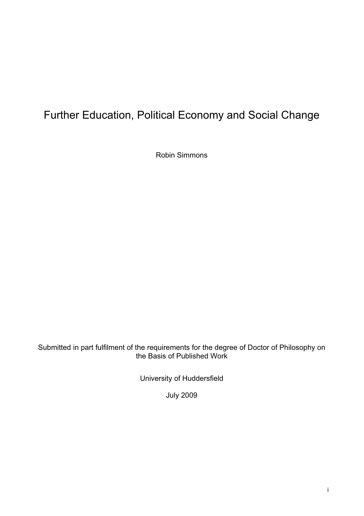# Further Education, Political Economy and Social Change

Robin Simmons

Submitted in part fulfilment of the requirements for the degree of Doctor of Philosophy on the Basis of Published Work

University of Huddersfield

July 2009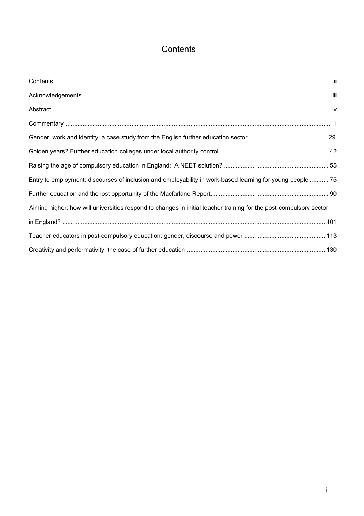## **Contents**

| Entry to employment: discourses of inclusion and employability in work-based learning for young people  75         |
|--------------------------------------------------------------------------------------------------------------------|
|                                                                                                                    |
| Aiming higher: how will universities respond to changes in initial teacher training for the post-compulsory sector |
|                                                                                                                    |
|                                                                                                                    |
|                                                                                                                    |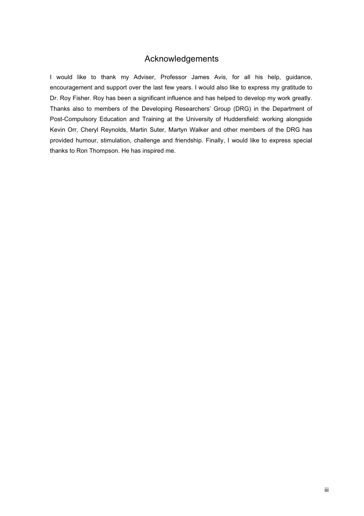## Acknowledgements

I would like to thank my Adviser, Professor James Avis, for all his help, guidance, encouragement and support over the last few years. I would also like to express my gratitude to Dr. Roy Fisher. Roy has been a significant influence and has helped to develop my work greatly. Thanks also to members of the Developing Researchers' Group (DRG) in the Department of Post-Compulsory Education and Training at the University of Huddersfield: working alongside Kevin Orr, Cheryl Reynolds, Martin Suter, Martyn Walker and other members of the DRG has provided humour, stimulation, challenge and friendship. Finally, I would like to express special thanks to Ron Thompson. He has inspired me.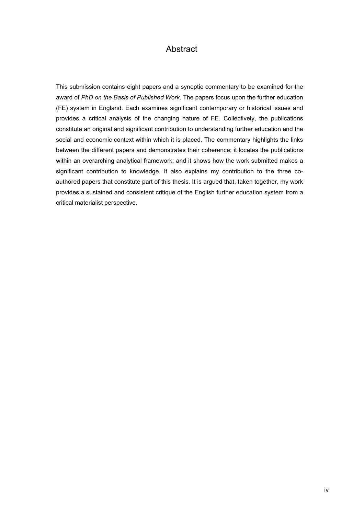## **Abstract**

This submission contains eight papers and a synoptic commentary to be examined for the award of *PhD on the Basis of Published Work*. The papers focus upon the further education (FE) system in England. Each examines significant contemporary or historical issues and provides a critical analysis of the changing nature of FE. Collectively, the publications constitute an original and significant contribution to understanding further education and the social and economic context within which it is placed. The commentary highlights the links between the different papers and demonstrates their coherence; it locates the publications within an overarching analytical framework; and it shows how the work submitted makes a significant contribution to knowledge. It also explains my contribution to the three coauthored papers that constitute part of this thesis. It is argued that, taken together, my work provides a sustained and consistent critique of the English further education system from a critical materialist perspective.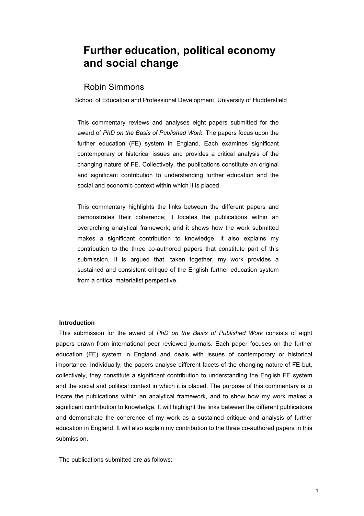## **Further education, political economy and social change**

## Robin Simmons

School of Education and Professional Development, University of Huddersfield

This commentary reviews and analyses eight papers submitted for the award of *PhD on the Basis of Published Work*. The papers focus upon the further education (FE) system in England. Each examines significant contemporary or historical issues and provides a critical analysis of the changing nature of FE. Collectively, the publications constitute an original and significant contribution to understanding further education and the social and economic context within which it is placed.

This commentary highlights the links between the different papers and demonstrates their coherence; it locates the publications within an overarching analytical framework; and it shows how the work submitted makes a significant contribution to knowledge. It also explains my contribution to the three co-authored papers that constitute part of this submission. It is argued that, taken together, my work provides a sustained and consistent critique of the English further education system from a critical materialist perspective.

### **Introduction**

This submission for the award of *PhD on the Basis of Published Work* consists of eight papers drawn from international peer reviewed journals. Each paper focuses on the further education (FE) system in England and deals with issues of contemporary or historical importance. Individually, the papers analyse different facets of the changing nature of FE but, collectively, they constitute a significant contribution to understanding the English FE system and the social and political context in which it is placed. The purpose of this commentary is to locate the publications within an analytical framework, and to show how my work makes a significant contribution to knowledge. It will highlight the links between the different publications and demonstrate the coherence of my work as a sustained critique and analysis of further education in England. It will also explain my contribution to the three co-authored papers in this submission.

The publications submitted are as follows: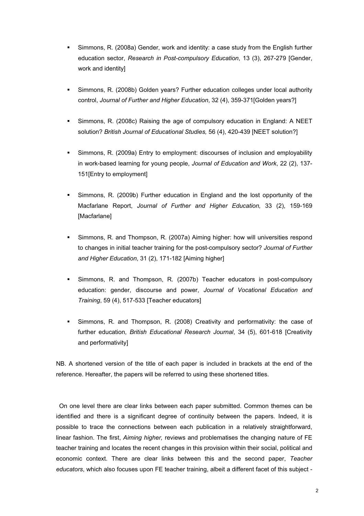- Simmons, R. (2008a) Gender, work and identity: a case study from the English further education sector, *Research in Post-compulsory Education*, 13 (3), 267-279 [Gender, work and identity]
- Simmons, R. (2008b) Golden years? Further education colleges under local authority control, *Journal of Further and Higher Education*, 32 (4), 359-371[Golden years?]
- Simmons, R. (2008c) Raising the age of compulsory education in England: A NEET solution? *British Journal of Educational Studies,* 56 (4), 420-439 [NEET solution?]
- Simmons, R. (2009a) Entry to employment: discourses of inclusion and employability in work-based learning for young people, *Journal of Education and Work*, 22 (2), 137- 151[Entry to employment]
- Simmons, R. (2009b) Further education in England and the lost opportunity of the Macfarlane Report, *Journal of Further and Higher Education,* 33 (2), 159-169 [Macfarlane]
- Simmons, R. and Thompson, R. (2007a) Aiming higher: how will universities respond to changes in initial teacher training for the post-compulsory sector? *Journal of Further and Higher Education*, 31 (2), 171-182 [Aiming higher]
- Simmons, R. and Thompson, R. (2007b) Teacher educators in post-compulsory education: gender, discourse and power, *Journal of Vocational Education and Training*, 59 (4), 517-533 [Teacher educators]
- Simmons, R. and Thompson, R. (2008) Creativity and performativity: the case of further education, *British Educational Research Journal*, 34 (5), 601-618 [Creativity and performativity]

NB. A shortened version of the title of each paper is included in brackets at the end of the reference. Hereafter, the papers will be referred to using these shortened titles.

On one level there are clear links between each paper submitted. Common themes can be identified and there is a significant degree of continuity between the papers. Indeed, it is possible to trace the connections between each publication in a relatively straightforward, linear fashion. The first, *Aiming higher,* reviews and problematises the changing nature of FE teacher training and locates the recent changes in this provision within their social, political and economic context. There are clear links between this and the second paper, *Teacher educators*, which also focuses upon FE teacher training, albeit a different facet of this subject -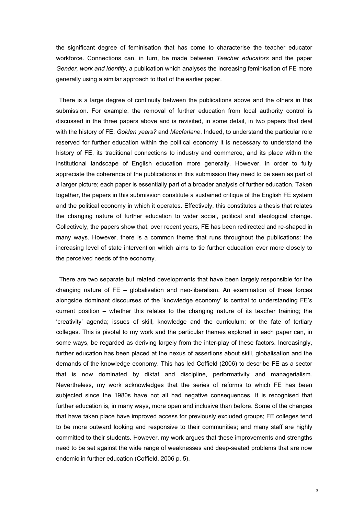the significant degree of feminisation that has come to characterise the teacher educator workforce. Connections can, in turn, be made between *Teacher educators* and the paper *Gender, work and identity*, a publication which analyses the increasing feminisation of FE more generally using a similar approach to that of the earlier paper.

There is a large degree of continuity between the publications above and the others in this submission. For example, the removal of further education from local authority control is discussed in the three papers above and is revisited, in some detail, in two papers that deal with the history of FE: *Golden years?* and *Macfarlane*. Indeed, to understand the particular role reserved for further education within the political economy it is necessary to understand the history of FE, its traditional connections to industry and commerce, and its place within the institutional landscape of English education more generally. However, in order to fully appreciate the coherence of the publications in this submission they need to be seen as part of a larger picture; each paper is essentially part of a broader analysis of further education. Taken together, the papers in this submission constitute a sustained critique of the English FE system and the political economy in which it operates. Effectively, this constitutes a thesis that relates the changing nature of further education to wider social, political and ideological change. Collectively, the papers show that, over recent years, FE has been redirected and re-shaped in many ways. However, there is a common theme that runs throughout the publications: the increasing level of state intervention which aims to tie further education ever more closely to the perceived needs of the economy.

There are two separate but related developments that have been largely responsible for the changing nature of FE – globalisation and neo-liberalism. An examination of these forces alongside dominant discourses of the 'knowledge economy' is central to understanding FE's current position – whether this relates to the changing nature of its teacher training; the 'creativity' agenda; issues of skill, knowledge and the curriculum; or the fate of tertiary colleges. This is pivotal to my work and the particular themes explored in each paper can, in some ways, be regarded as deriving largely from the inter-play of these factors. Increasingly, further education has been placed at the nexus of assertions about skill, globalisation and the demands of the knowledge economy. This has led Coffield (2006) to describe FE as a sector that is now dominated by diktat and discipline, performativity and managerialism. Nevertheless, my work acknowledges that the series of reforms to which FE has been subjected since the 1980s have not all had negative consequences. It is recognised that further education is, in many ways, more open and inclusive than before. Some of the changes that have taken place have improved access for previously excluded groups; FE colleges tend to be more outward looking and responsive to their communities; and many staff are highly committed to their students. However, my work argues that these improvements and strengths need to be set against the wide range of weaknesses and deep-seated problems that are now endemic in further education (Coffield, 2006 p. 5).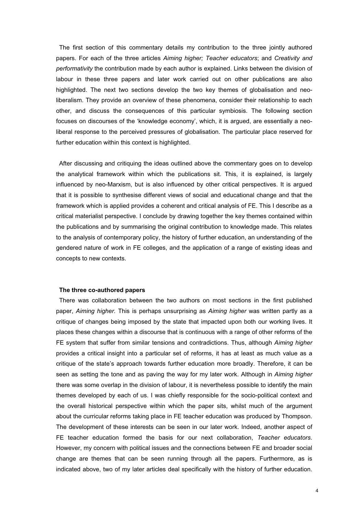The first section of this commentary details my contribution to the three jointly authored papers. For each of the three articles *Aiming higher; Teacher educators*; and *Creativity and performativity* the contribution made by each author is explained. Links between the division of labour in these three papers and later work carried out on other publications are also highlighted. The next two sections develop the two key themes of globalisation and neoliberalism. They provide an overview of these phenomena, consider their relationship to each other, and discuss the consequences of this particular symbiosis. The following section focuses on discourses of the 'knowledge economy', which, it is argued, are essentially a neoliberal response to the perceived pressures of globalisation. The particular place reserved for further education within this context is highlighted.

After discussing and critiquing the ideas outlined above the commentary goes on to develop the analytical framework within which the publications sit. This, it is explained, is largely influenced by neo-Marxism, but is also influenced by other critical perspectives. It is argued that it is possible to synthesise different views of social and educational change and that the framework which is applied provides a coherent and critical analysis of FE. This I describe as a critical materialist perspective. I conclude by drawing together the key themes contained within the publications and by summarising the original contribution to knowledge made. This relates to the analysis of contemporary policy, the history of further education, an understanding of the gendered nature of work in FE colleges, and the application of a range of existing ideas and concepts to new contexts.

#### **The three co-authored papers**

There was collaboration between the two authors on most sections in the first published paper, *Aiming higher.* This is perhaps unsurprising as *Aiming higher* was written partly as a critique of changes being imposed by the state that impacted upon both our working lives. It places these changes within a discourse that is continuous with a range of other reforms of the FE system that suffer from similar tensions and contradictions. Thus, although *Aiming higher* provides a critical insight into a particular set of reforms, it has at least as much value as a critique of the state's approach towards further education more broadly. Therefore, it can be seen as setting the tone and as paving the way for my later work. Although in *Aiming higher*  there was some overlap in the division of labour, it is nevertheless possible to identify the main themes developed by each of us. I was chiefly responsible for the socio-political context and the overall historical perspective within which the paper sits, whilst much of the argument about the curricular reforms taking place in FE teacher education was produced by Thompson. The development of these interests can be seen in our later work. Indeed, another aspect of FE teacher education formed the basis for our next collaboration, *Teacher educators*. However, my concern with political issues and the connections between FE and broader social change are themes that can be seen running through all the papers. Furthermore, as is indicated above, two of my later articles deal specifically with the history of further education.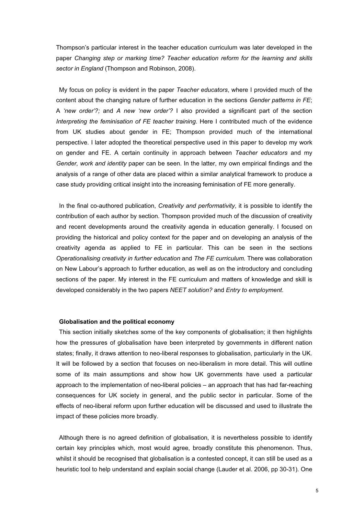Thompson's particular interest in the teacher education curriculum was later developed in the paper *Changing step or marking time? Teacher education reform for the learning and skills sector in England* (Thompson and Robinson, 2008).

My focus on policy is evident in the paper *Teacher educators*, where I provided much of the content about the changing nature of further education in the sections *Gender patterns in FE*; A *'new order'?;* and *A new 'new order'?* I also provided a significant part of the section *Interpreting the feminisation of FE teacher training*. Here I contributed much of the evidence from UK studies about gender in FE; Thompson provided much of the international perspective. I later adopted the theoretical perspective used in this paper to develop my work on gender and FE. A certain continuity in approach between *Teacher educators* and my *Gender, work and identity* paper can be seen. In the latter, my own empirical findings and the analysis of a range of other data are placed within a similar analytical framework to produce a case study providing critical insight into the increasing feminisation of FE more generally.

In the final co-authored publication, *Creativity and performativity*, it is possible to identify the contribution of each author by section. Thompson provided much of the discussion of creativity and recent developments around the creativity agenda in education generally. I focused on providing the historical and policy context for the paper and on developing an analysis of the creativity agenda as applied to FE in particular. This can be seen in the sections *Operationalising creativity in further education* and *The FE curriculum.* There was collaboration on New Labour's approach to further education, as well as on the introductory and concluding sections of the paper. My interest in the FE curriculum and matters of knowledge and skill is developed considerably in the two papers *NEET solution?* and *Entry to employment*.

#### **Globalisation and the political economy**

This section initially sketches some of the key components of globalisation; it then highlights how the pressures of globalisation have been interpreted by governments in different nation states; finally, it draws attention to neo-liberal responses to globalisation, particularly in the UK. It will be followed by a section that focuses on neo-liberalism in more detail. This will outline some of its main assumptions and show how UK governments have used a particular approach to the implementation of neo-liberal policies – an approach that has had far-reaching consequences for UK society in general, and the public sector in particular. Some of the effects of neo-liberal reform upon further education will be discussed and used to illustrate the impact of these policies more broadly.

Although there is no agreed definition of globalisation, it is nevertheless possible to identify certain key principles which, most would agree, broadly constitute this phenomenon. Thus, whilst it should be recognised that globalisation is a contested concept, it can still be used as a heuristic tool to help understand and explain social change (Lauder et al. 2006, pp 30-31). One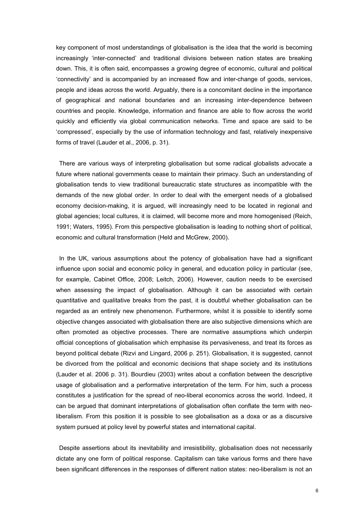key component of most understandings of globalisation is the idea that the world is becoming increasingly 'inter-connected' and traditional divisions between nation states are breaking down. This, it is often said, encompasses a growing degree of economic, cultural and political 'connectivity' and is accompanied by an increased flow and inter-change of goods, services, people and ideas across the world. Arguably, there is a concomitant decline in the importance of geographical and national boundaries and an increasing inter-dependence between countries and people. Knowledge, information and finance are able to flow across the world quickly and efficiently via global communication networks. Time and space are said to be 'compressed', especially by the use of information technology and fast, relatively inexpensive forms of travel (Lauder et al., 2006, p. 31).

There are various ways of interpreting globalisation but some radical globalists advocate a future where national governments cease to maintain their primacy. Such an understanding of globalisation tends to view traditional bureaucratic state structures as incompatible with the demands of the new global order. In order to deal with the emergent needs of a globalised economy decision-making, it is argued, will increasingly need to be located in regional and global agencies; local cultures, it is claimed, will become more and more homogenised (Reich, 1991; Waters, 1995). From this perspective globalisation is leading to nothing short of political, economic and cultural transformation (Held and McGrew, 2000).

In the UK, various assumptions about the potency of globalisation have had a significant influence upon social and economic policy in general, and education policy in particular (see, for example, Cabinet Office, 2008; Leitch, 2006). However, caution needs to be exercised when assessing the impact of globalisation. Although it can be associated with certain quantitative and qualitative breaks from the past, it is doubtful whether globalisation can be regarded as an entirely new phenomenon. Furthermore, whilst it is possible to identify some objective changes associated with globalisation there are also subjective dimensions which are often promoted as objective processes. There are normative assumptions which underpin official conceptions of globalisation which emphasise its pervasiveness, and treat its forces as beyond political debate (Rizvi and Lingard, 2006 p. 251). Globalisation, it is suggested, cannot be divorced from the political and economic decisions that shape society and its institutions (Lauder et al. 2006 p. 31). Bourdieu (2003) writes about a conflation between the descriptive usage of globalisation and a performative interpretation of the term. For him, such a process constitutes a justification for the spread of neo-liberal economics across the world. Indeed, it can be argued that dominant interpretations of globalisation often conflate the term with neoliberalism. From this position it is possible to see globalisation as a doxa or as a discursive system pursued at policy level by powerful states and international capital.

Despite assertions about its inevitability and irresistibility, globalisation does not necessarily dictate any one form of political response. Capitalism can take various forms and there have been significant differences in the responses of different nation states: neo-liberalism is not an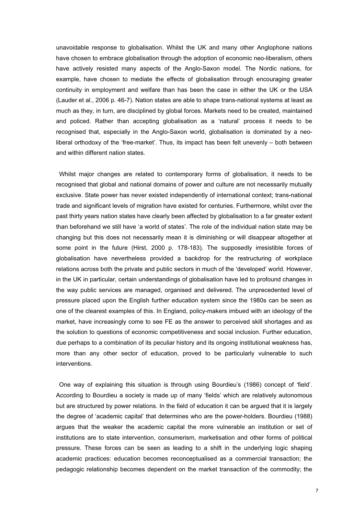unavoidable response to globalisation. Whilst the UK and many other Anglophone nations have chosen to embrace globalisation through the adoption of economic neo-liberalism, others have actively resisted many aspects of the Anglo-Saxon model. The Nordic nations, for example, have chosen to mediate the effects of globalisation through encouraging greater continuity in employment and welfare than has been the case in either the UK or the USA (Lauder et al., 2006 p. 46-7). Nation states are able to shape trans-national systems at least as much as they, in turn, are disciplined by global forces. Markets need to be created, maintained and policed. Rather than accepting globalisation as a 'natural' process it needs to be recognised that, especially in the Anglo-Saxon world, globalisation is dominated by a neoliberal orthodoxy of the 'free-market'. Thus, its impact has been felt unevenly – both between and within different nation states.

Whilst major changes are related to contemporary forms of globalisation, it needs to be recognised that global and national domains of power and culture are not necessarily mutually exclusive. State power has never existed independently of international context; trans-national trade and significant levels of migration have existed for centuries. Furthermore, whilst over the past thirty years nation states have clearly been affected by globalisation to a far greater extent than beforehand we still have 'a world of states'. The role of the individual nation state may be changing but this does not necessarily mean it is diminishing or will disappear altogether at some point in the future (Hirst, 2000 p. 178-183). The supposedly irresistible forces of globalisation have nevertheless provided a backdrop for the restructuring of workplace relations across both the private and public sectors in much of the 'developed' world. However, in the UK in particular, certain understandings of globalisation have led to profound changes in the way public services are managed, organised and delivered. The unprecedented level of pressure placed upon the English further education system since the 1980s can be seen as one of the clearest examples of this. In England, policy-makers imbued with an ideology of the market, have increasingly come to see FE as the answer to perceived skill shortages and as the solution to questions of economic competitiveness and social inclusion. Further education, due perhaps to a combination of its peculiar history and its ongoing institutional weakness has, more than any other sector of education, proved to be particularly vulnerable to such interventions.

One way of explaining this situation is through using Bourdieu's (1986) concept of 'field'. According to Bourdieu a society is made up of many 'fields' which are relatively autonomous but are structured by power relations. In the field of education it can be argued that it is largely the degree of 'academic capital' that determines who are the power-holders. Bourdieu (1988) argues that the weaker the academic capital the more vulnerable an institution or set of institutions are to state intervention, consumerism, marketisation and other forms of political pressure. These forces can be seen as leading to a shift in the underlying logic shaping academic practices: education becomes reconceptualised as a commercial transaction; the pedagogic relationship becomes dependent on the market transaction of the commodity; the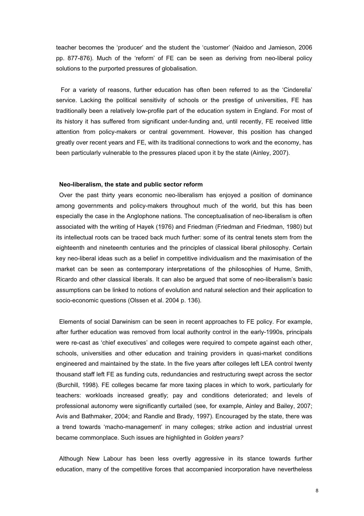teacher becomes the 'producer' and the student the 'customer' (Naidoo and Jamieson, 2006 pp. 877-876). Much of the 'reform' of FE can be seen as deriving from neo-liberal policy solutions to the purported pressures of globalisation.

 For a variety of reasons, further education has often been referred to as the 'Cinderella' service. Lacking the political sensitivity of schools or the prestige of universities, FE has traditionally been a relatively low-profile part of the education system in England. For most of its history it has suffered from significant under-funding and, until recently, FE received little attention from policy-makers or central government. However, this position has changed greatly over recent years and FE, with its traditional connections to work and the economy, has been particularly vulnerable to the pressures placed upon it by the state (Ainley, 2007).

#### **Neo-liberalism, the state and public sector reform**

Over the past thirty years economic neo-liberalism has enjoyed a position of dominance among governments and policy-makers throughout much of the world, but this has been especially the case in the Anglophone nations. The conceptualisation of neo-liberalism is often associated with the writing of Hayek (1976) and Friedman (Friedman and Friedman, 1980) but its intellectual roots can be traced back much further: some of its central tenets stem from the eighteenth and nineteenth centuries and the principles of classical liberal philosophy. Certain key neo-liberal ideas such as a belief in competitive individualism and the maximisation of the market can be seen as contemporary interpretations of the philosophies of Hume, Smith, Ricardo and other classical liberals. It can also be argued that some of neo-liberalism's basic assumptions can be linked to notions of evolution and natural selection and their application to socio-economic questions (Olssen et al. 2004 p. 136).

Elements of social Darwinism can be seen in recent approaches to FE policy. For example, after further education was removed from local authority control in the early-1990s, principals were re-cast as 'chief executives' and colleges were required to compete against each other, schools, universities and other education and training providers in quasi-market conditions engineered and maintained by the state. In the five years after colleges left LEA control twenty thousand staff left FE as funding cuts, redundancies and restructuring swept across the sector (Burchill, 1998). FE colleges became far more taxing places in which to work, particularly for teachers: workloads increased greatly; pay and conditions deteriorated; and levels of professional autonomy were significantly curtailed (see, for example, Ainley and Bailey, 2007; Avis and Bathmaker, 2004; and Randle and Brady, 1997). Encouraged by the state, there was a trend towards 'macho-management' in many colleges; strike action and industrial unrest became commonplace. Such issues are highlighted in *Golden years?*

Although New Labour has been less overtly aggressive in its stance towards further education, many of the competitive forces that accompanied incorporation have nevertheless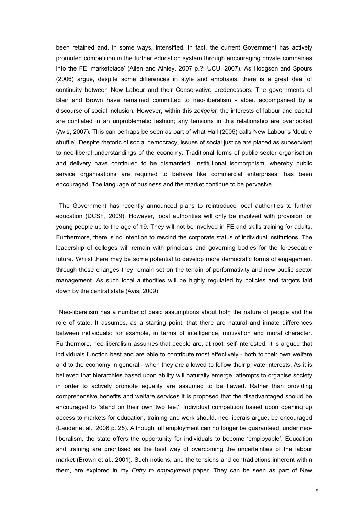been retained and, in some ways, intensified. In fact, the current Government has actively promoted competition in the further education system through encouraging private companies into the FE 'marketplace' (Allen and Ainley, 2007 p.?; UCU, 2007). As Hodgson and Spours (2006) argue, despite some differences in style and emphasis, there is a great deal of continuity between New Labour and their Conservative predecessors. The governments of Blair and Brown have remained committed to neo-liberalism - albeit accompanied by a discourse of social inclusion. However, within this *zeitgeist,* the interests of labour and capital are conflated in an unproblematic fashion; any tensions in this relationship are overlooked (Avis, 2007). This can perhaps be seen as part of what Hall (2005) calls New Labour's 'double shuffle'. Despite rhetoric of social democracy, issues of social justice are placed as subservient to neo-liberal understandings of the economy. Traditional forms of public sector organisation and delivery have continued to be dismantled. Institutional isomorphism, whereby public service organisations are required to behave like commercial enterprises, has been encouraged. The language of business and the market continue to be pervasive.

The Government has recently announced plans to reintroduce local authorities to further education (DCSF, 2009). However, local authorities will only be involved with provision for young people up to the age of 19. They will not be involved in FE and skills training for adults. Furthermore, there is no intention to rescind the corporate status of individual institutions. The leadership of colleges will remain with principals and governing bodies for the foreseeable future. Whilst there may be some potential to develop more democratic forms of engagement through these changes they remain set on the terrain of performativity and new public sector management. As such local authorities will be highly regulated by policies and targets laid down by the central state (Avis, 2009).

Neo-liberalism has a number of basic assumptions about both the nature of people and the role of state. It assumes, as a starting point, that there are natural and innate differences between individuals: for example, in terms of intelligence, motivation and moral character. Furthermore, neo-liberalism assumes that people are, at root, self-interested. It is argued that individuals function best and are able to contribute most effectively - both to their own welfare and to the economy in general - when they are allowed to follow their private interests. As it is believed that hierarchies based upon ability will naturally emerge, attempts to organise society in order to actively promote equality are assumed to be flawed. Rather than providing comprehensive benefits and welfare services it is proposed that the disadvantaged should be encouraged to 'stand on their own two feet'. Individual competition based upon opening up access to markets for education, training and work should, neo-liberals argue, be encouraged (Lauder et al., 2006 p. 25). Although full employment can no longer be guaranteed, under neoliberalism, the state offers the opportunity for individuals to become 'employable'. Education and training are prioritised as the best way of overcoming the uncertainties of the labour market (Brown et al., 2001). Such notions, and the tensions and contradictions inherent within them, are explored in my *Entry to employment* paper. They can be seen as part of New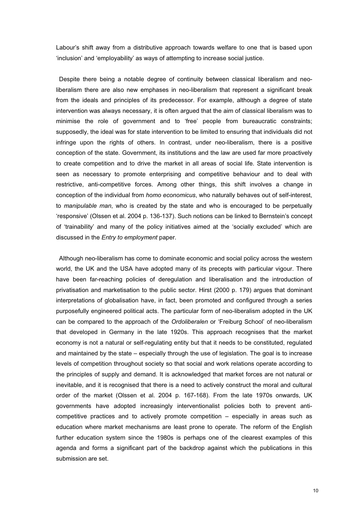Labour's shift away from a distributive approach towards welfare to one that is based upon 'inclusion' and 'employability' as ways of attempting to increase social justice.

Despite there being a notable degree of continuity between classical liberalism and neoliberalism there are also new emphases in neo-liberalism that represent a significant break from the ideals and principles of its predecessor. For example, although a degree of state intervention was always necessary, it is often argued that the aim of classical liberalism was to minimise the role of government and to 'free' people from bureaucratic constraints; supposedly, the ideal was for state intervention to be limited to ensuring that individuals did not infringe upon the rights of others. In contrast, under neo-liberalism, there is a positive conception of the state. Government, its institutions and the law are used far more proactively to create competition and to drive the market in all areas of social life. State intervention is seen as necessary to promote enterprising and competitive behaviour and to deal with restrictive, anti-competitive forces. Among other things, this shift involves a change in conception of the individual from *homo economicus*, who naturally behaves out of self-interest, to *manipulable man*, who is created by the state and who is encouraged to be perpetually 'responsive' (Olssen et al. 2004 p. 136-137). Such notions can be linked to Bernstein's concept of 'trainability' and many of the policy initiatives aimed at the 'socially excluded' which are discussed in the *Entry to employment* paper*.*

Although neo-liberalism has come to dominate economic and social policy across the western world, the UK and the USA have adopted many of its precepts with particular vigour. There have been far-reaching policies of deregulation and liberalisation and the introduction of privatisation and marketisation to the public sector. Hirst (2000 p. 179) argues that dominant interpretations of globalisation have, in fact, been promoted and configured through a series purposefully engineered political acts. The particular form of neo-liberalism adopted in the UK can be compared to the approach of the *Ordoliberalen* or 'Freiburg School' of neo-liberalism that developed in Germany in the late 1920s. This approach recognises that the market economy is not a natural or self-regulating entity but that it needs to be constituted, regulated and maintained by the state – especially through the use of legislation. The goal is to increase levels of competition throughout society so that social and work relations operate according to the principles of supply and demand. It is acknowledged that market forces are not natural or inevitable, and it is recognised that there is a need to actively construct the moral and cultural order of the market (Olssen et al. 2004 p. 167-168). From the late 1970s onwards, UK governments have adopted increasingly interventionalist policies both to prevent anticompetitive practices and to actively promote competition – especially in areas such as education where market mechanisms are least prone to operate. The reform of the English further education system since the 1980s is perhaps one of the clearest examples of this agenda and forms a significant part of the backdrop against which the publications in this submission are set.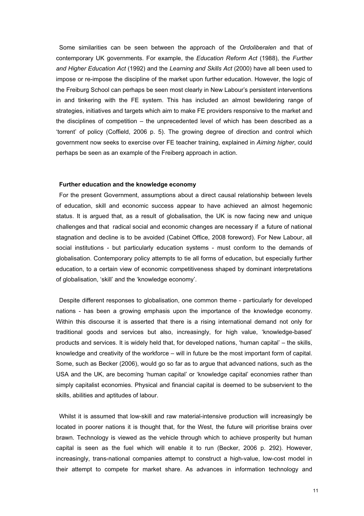Some similarities can be seen between the approach of the *Ordoliberalen* and that of contemporary UK governments. For example, the *Education Reform Act* (1988), the *Further and Higher Education Act* (1992) and the *Learning and Skills Act* (2000) have all been used to impose or re-impose the discipline of the market upon further education. However, the logic of the Freiburg School can perhaps be seen most clearly in New Labour's persistent interventions in and tinkering with the FE system. This has included an almost bewildering range of strategies, initiatives and targets which aim to make FE providers responsive to the market and the disciplines of competition – the unprecedented level of which has been described as a 'torrent' of policy (Coffield, 2006 p. 5). The growing degree of direction and control which government now seeks to exercise over FE teacher training, explained in *Aiming higher*, could perhaps be seen as an example of the Freiberg approach in action.

#### **Further education and the knowledge economy**

For the present Government, assumptions about a direct causal relationship between levels of education, skill and economic success appear to have achieved an almost hegemonic status. It is argued that, as a result of globalisation, the UK is now facing new and unique challenges and that radical social and economic changes are necessary if a future of national stagnation and decline is to be avoided (Cabinet Office, 2008 foreword). For New Labour, all social institutions - but particularly education systems - must conform to the demands of globalisation. Contemporary policy attempts to tie all forms of education, but especially further education, to a certain view of economic competitiveness shaped by dominant interpretations of globalisation, 'skill' and the 'knowledge economy'.

Despite different responses to globalisation, one common theme - particularly for developed nations - has been a growing emphasis upon the importance of the knowledge economy. Within this discourse it is asserted that there is a rising international demand not only for traditional goods and services but also, increasingly, for high value, 'knowledge-based' products and services. It is widely held that, for developed nations, 'human capital' – the skills, knowledge and creativity of the workforce – will in future be the most important form of capital. Some, such as Becker (2006), would go so far as to argue that advanced nations, such as the USA and the UK, are becoming 'human capital' or 'knowledge capital' economies rather than simply capitalist economies. Physical and financial capital is deemed to be subservient to the skills, abilities and aptitudes of labour.

Whilst it is assumed that low-skill and raw material-intensive production will increasingly be located in poorer nations it is thought that, for the West, the future will prioritise brains over brawn. Technology is viewed as the vehicle through which to achieve prosperity but human capital is seen as the fuel which will enable it to run (Becker, 2006 p. 292). However, increasingly, trans-national companies attempt to construct a high-value, low-cost model in their attempt to compete for market share. As advances in information technology and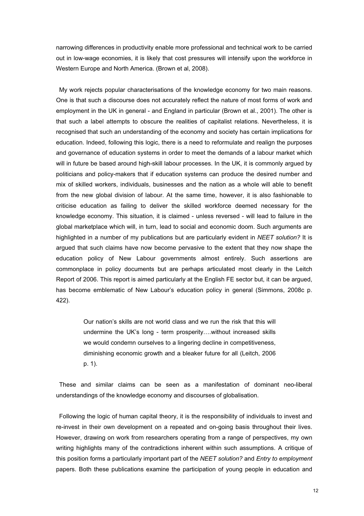narrowing differences in productivity enable more professional and technical work to be carried out in low-wage economies, it is likely that cost pressures will intensify upon the workforce in Western Europe and North America. (Brown et al, 2008).

My work rejects popular characterisations of the knowledge economy for two main reasons. One is that such a discourse does not accurately reflect the nature of most forms of work and employment in the UK in general - and England in particular (Brown et al., 2001). The other is that such a label attempts to obscure the realities of capitalist relations. Nevertheless, it is recognised that such an understanding of the economy and society has certain implications for education. Indeed, following this logic, there is a need to reformulate and realign the purposes and governance of education systems in order to meet the demands of a labour market which will in future be based around high-skill labour processes. In the UK, it is commonly argued by politicians and policy-makers that if education systems can produce the desired number and mix of skilled workers, individuals, businesses and the nation as a whole will able to benefit from the new global division of labour. At the same time, however, it is also fashionable to criticise education as failing to deliver the skilled workforce deemed necessary for the knowledge economy. This situation, it is claimed - unless reversed - will lead to failure in the global marketplace which will, in turn, lead to social and economic doom. Such arguments are highlighted in a number of my publications but are particularly evident in *NEET solution?* It is argued that such claims have now become pervasive to the extent that they now shape the education policy of New Labour governments almost entirely. Such assertions are commonplace in policy documents but are perhaps articulated most clearly in the Leitch Report of 2006. This report is aimed particularly at the English FE sector but, it can be argued, has become emblematic of New Labour's education policy in general (Simmons, 2008c p. 422).

> Our nation's skills are not world class and we run the risk that this will undermine the UK's long - term prosperity….without increased skills we would condemn ourselves to a lingering decline in competitiveness, diminishing economic growth and a bleaker future for all (Leitch, 2006 p. 1).

These and similar claims can be seen as a manifestation of dominant neo-liberal understandings of the knowledge economy and discourses of globalisation.

Following the logic of human capital theory, it is the responsibility of individuals to invest and re-invest in their own development on a repeated and on-going basis throughout their lives. However, drawing on work from researchers operating from a range of perspectives, my own writing highlights many of the contradictions inherent within such assumptions. A critique of this position forms a particularly important part of the *NEET solution?* and *Entry to employment*  papers. Both these publications examine the participation of young people in education and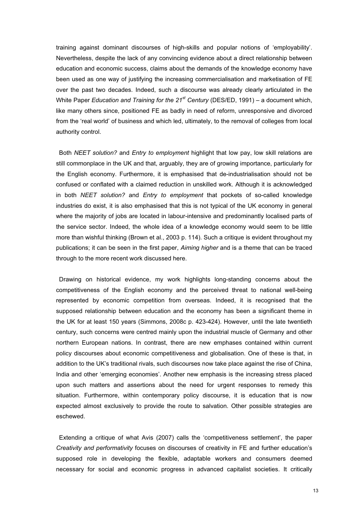training against dominant discourses of high-skills and popular notions of 'employability'. Nevertheless, despite the lack of any convincing evidence about a direct relationship between education and economic success, claims about the demands of the knowledge economy have been used as one way of justifying the increasing commercialisation and marketisation of FE over the past two decades. Indeed, such a discourse was already clearly articulated in the White Paper *Education and Training for the 21st Century* (DES/ED, 1991) – a document which, like many others since, positioned FE as badly in need of reform, unresponsive and divorced from the 'real world' of business and which led, ultimately, to the removal of colleges from local authority control.

Both *NEET solution?* and *Entry to employment* highlight that low pay, low skill relations are still commonplace in the UK and that, arguably, they are of growing importance, particularly for the English economy. Furthermore, it is emphasised that de-industrialisation should not be confused or conflated with a claimed reduction in unskilled work. Although it is acknowledged in both *NEET solution?* and *Entry to employment* that pockets of so-called knowledge industries do exist, it is also emphasised that this is not typical of the UK economy in general where the majority of jobs are located in labour-intensive and predominantly localised parts of the service sector. Indeed, the whole idea of a knowledge economy would seem to be little more than wishful thinking (Brown et al., 2003 p. 114). Such a critique is evident throughout my publications; it can be seen in the first paper, *Aiming higher* and is a theme that can be traced through to the more recent work discussed here.

Drawing on historical evidence, my work highlights long-standing concerns about the competitiveness of the English economy and the perceived threat to national well-being represented by economic competition from overseas. Indeed, it is recognised that the supposed relationship between education and the economy has been a significant theme in the UK for at least 150 years (Simmons, 2008c p. 423-424). However, until the late twentieth century, such concerns were centred mainly upon the industrial muscle of Germany and other northern European nations. In contrast, there are new emphases contained within current policy discourses about economic competitiveness and globalisation. One of these is that, in addition to the UK's traditional rivals, such discourses now take place against the rise of China, India and other 'emerging economies'. Another new emphasis is the increasing stress placed upon such matters and assertions about the need for urgent responses to remedy this situation. Furthermore, within contemporary policy discourse, it is education that is now expected almost exclusively to provide the route to salvation. Other possible strategies are eschewed.

Extending a critique of what Avis (2007) calls the 'competitiveness settlement', the paper *Creativity and performativity* focuses on discourses of creativity in FE and further education's supposed role in developing the flexible, adaptable workers and consumers deemed necessary for social and economic progress in advanced capitalist societies. It critically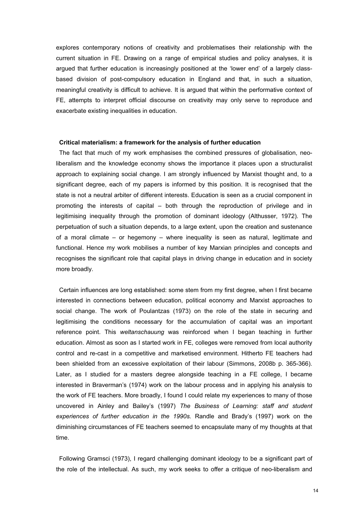explores contemporary notions of creativity and problematises their relationship with the current situation in FE. Drawing on a range of empirical studies and policy analyses, it is argued that further education is increasingly positioned at the 'lower end' of a largely classbased division of post-compulsory education in England and that, in such a situation, meaningful creativity is difficult to achieve. It is argued that within the performative context of FE, attempts to interpret official discourse on creativity may only serve to reproduce and exacerbate existing inequalities in education.

#### **Critical materialism: a framework for the analysis of further education**

The fact that much of my work emphasises the combined pressures of globalisation, neoliberalism and the knowledge economy shows the importance it places upon a structuralist approach to explaining social change. I am strongly influenced by Marxist thought and, to a significant degree, each of my papers is informed by this position. It is recognised that the state is not a neutral arbiter of different interests. Education is seen as a crucial component in promoting the interests of capital – both through the reproduction of privilege and in legitimising inequality through the promotion of dominant ideology (Althusser, 1972). The perpetuation of such a situation depends, to a large extent, upon the creation and sustenance of a moral climate – or hegemony – where inequality is seen as natural, legitimate and functional. Hence my work mobilises a number of key Marxian principles and concepts and recognises the significant role that capital plays in driving change in education and in society more broadly.

Certain influences are long established: some stem from my first degree, when I first became interested in connections between education, political economy and Marxist approaches to social change. The work of Poulantzas (1973) on the role of the state in securing and legitimising the conditions necessary for the accumulation of capital was an important reference point. This *weltanschauung* was reinforced when I began teaching in further education. Almost as soon as I started work in FE, colleges were removed from local authority control and re-cast in a competitive and marketised environment. Hitherto FE teachers had been shielded from an excessive exploitation of their labour (Simmons, 2008b p. 365-366). Later, as I studied for a masters degree alongside teaching in a FE college, I became interested in Braverman's (1974) work on the labour process and in applying his analysis to the work of FE teachers. More broadly, I found I could relate my experiences to many of those uncovered in Ainley and Bailey's (1997) *The Business of Learning: staff and student experiences of further education in the 1990s.* Randle and Brady's (1997) work on the diminishing circumstances of FE teachers seemed to encapsulate many of my thoughts at that time.

Following Gramsci (1973), I regard challenging dominant ideology to be a significant part of the role of the intellectual. As such, my work seeks to offer a critique of neo-liberalism and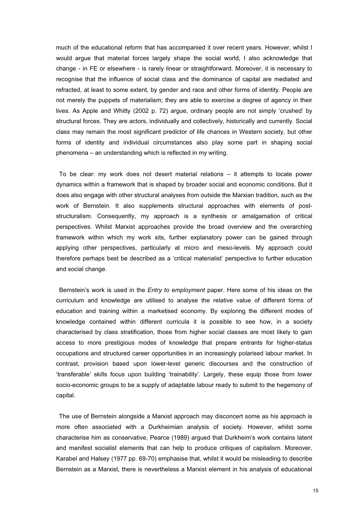much of the educational reform that has accompanied it over recent years. However, whilst I would argue that material forces largely shape the social world, I also acknowledge that change - in FE or elsewhere - is rarely linear or straightforward. Moreover, it is necessary to recognise that the influence of social class and the dominance of capital are mediated and refracted, at least to some extent, by gender and race and other forms of identity. People are not merely the puppets of materialism; they are able to exercise a degree of agency in their lives. As Apple and Whitty (2002 p. 72) argue, ordinary people are not simply 'crushed' by structural forces. They are actors, individually and collectively, historically and currently. Social class may remain the most significant predictor of life chances in Western society, but other forms of identity and individual circumstances also play some part in shaping social phenomena – an understanding which is reflected in my writing.

To be clear: my work does not desert material relations – it attempts to locate power dynamics within a framework that is shaped by broader social and economic conditions. But it does also engage with other structural analyses from outside the Marxian tradition, such as the work of Bernstein. It also supplements structural approaches with elements of poststructuralism. Consequently, my approach is a synthesis or amalgamation of critical perspectives. Whilst Marxist approaches provide the broad overview and the overarching framework within which my work sits, further explanatory power can be gained through applying other perspectives, particularly at micro and meso-levels. My approach could therefore perhaps best be described as a 'critical materialist' perspective to further education and social change.

Bernstein's work is used in the *Entry to employment* paper. Here some of his ideas on the curriculum and knowledge are utilised to analyse the relative value of different forms of education and training within a marketised economy. By exploring the different modes of knowledge contained within different curricula it is possible to see how, in a society characterised by class stratification, those from higher social classes are most likely to gain access to more prestigious modes of knowledge that prepare entrants for higher-status occupations and structured career opportunities in an increasingly polarised labour market. In contrast, provision based upon lower-level generic discourses and the construction of 'transferable' skills focus upon building 'trainability'. Largely, these equip those from lower socio-economic groups to be a supply of adaptable labour ready to submit to the hegemony of capital.

The use of Bernstein alongside a Marxist approach may disconcert some as his approach is more often associated with a Durkheimian analysis of society. However, whilst some characterise him as conservative, Pearce (1989) argued that Durkheim's work contains latent and manifest socialist elements that can help to produce critiques of capitalism. Moreover, Karabel and Halsey (1977 pp. 69-70) emphasise that, whilst it would be misleading to describe Bernstein as a Marxist, there is nevertheless a Marxist element in his analysis of educational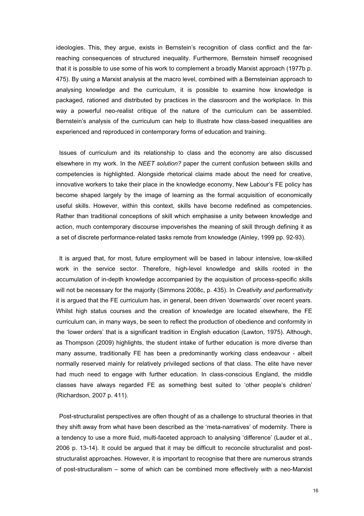ideologies. This, they argue, exists in Bernstein's recognition of class conflict and the farreaching consequences of structured inequality. Furthermore, Bernstein himself recognised that it is possible to use some of his work to complement a broadly Marxist approach (1977b p. 475). By using a Marxist analysis at the macro level, combined with a Bernsteinian approach to analysing knowledge and the curriculum, it is possible to examine how knowledge is packaged, rationed and distributed by practices in the classroom and the workplace. In this way a powerful neo-realist critique of the nature of the curriculum can be assembled. Bernstein's analysis of the curriculum can help to illustrate how class-based inequalities are experienced and reproduced in contemporary forms of education and training.

Issues of curriculum and its relationship to class and the economy are also discussed elsewhere in my work. In the *NEET solution?* paper the current confusion between skills and competencies is highlighted. Alongside rhetorical claims made about the need for creative, innovative workers to take their place in the knowledge economy, New Labour's FE policy has become shaped largely by the image of learning as the formal acquisition of economically useful skills. However, within this context, skills have become redefined as competencies. Rather than traditional conceptions of skill which emphasise a unity between knowledge and action, much contemporary discourse impoverishes the meaning of skill through defining it as a set of discrete performance-related tasks remote from knowledge (Ainley, 1999 pp. 92-93).

It is argued that, for most, future employment will be based in labour intensive, low-skilled work in the service sector. Therefore, high-level knowledge and skills rooted in the accumulation of in-depth knowledge accompanied by the acquisition of process-specific skills will not be necessary for the majority (Simmons 2008c, p. 435). In *Creativity and performativity* it is argued that the FE curriculum has, in general, been driven 'downwards' over recent years. Whilst high status courses and the creation of knowledge are located elsewhere, the FE curriculum can, in many ways, be seen to reflect the production of obedience and conformity in the 'lower orders' that is a significant tradition in English education (Lawton, 1975). Although, as Thompson (2009) highlights, the student intake of further education is more diverse than many assume, traditionally FE has been a predominantly working class endeavour - albeit normally reserved mainly for relatively privileged sections of that class. The elite have never had much need to engage with further education. In class-conscious England, the middle classes have always regarded FE as something best suited to 'other people's children' (Richardson, 2007 p. 411).

Post-structuralist perspectives are often thought of as a challenge to structural theories in that they shift away from what have been described as the 'meta-narratives' of modernity. There is a tendency to use a more fluid, multi-faceted approach to analysing 'difference' (Lauder et al., 2006 p. 13-14). It could be argued that it may be difficult to reconcile structuralist and poststructuralist approaches. However, it is important to recognise that there are numerous strands of post-structuralism – some of which can be combined more effectively with a neo-Marxist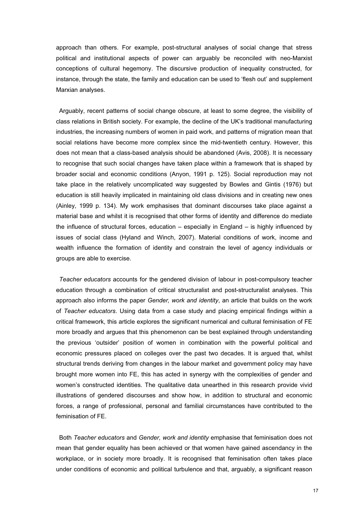approach than others. For example, post-structural analyses of social change that stress political and institutional aspects of power can arguably be reconciled with neo-Marxist conceptions of cultural hegemony. The discursive production of inequality constructed, for instance, through the state, the family and education can be used to 'flesh out' and supplement Marxian analyses.

Arguably, recent patterns of social change obscure, at least to some degree, the visibility of class relations in British society. For example, the decline of the UK's traditional manufacturing industries, the increasing numbers of women in paid work, and patterns of migration mean that social relations have become more complex since the mid-twentieth century. However, this does not mean that a class-based analysis should be abandoned (Avis, 2008). It is necessary to recognise that such social changes have taken place within a framework that is shaped by broader social and economic conditions (Anyon, 1991 p. 125). Social reproduction may not take place in the relatively uncomplicated way suggested by Bowles and Gintis (1976) but education is still heavily implicated in maintaining old class divisions and in creating new ones (Ainley, 1999 p. 134). My work emphasises that dominant discourses take place against a material base and whilst it is recognised that other forms of identity and difference do mediate the influence of structural forces, education – especially in England – is highly influenced by issues of social class (Hyland and Winch, 2007). Material conditions of work, income and wealth influence the formation of identity and constrain the level of agency individuals or groups are able to exercise.

*Teacher educators* accounts for the gendered division of labour in post-compulsory teacher education through a combination of critical structuralist and post-structuralist analyses. This approach also informs the paper *Gender, work and identity*, an article that builds on the work of *Teacher educators*. Using data from a case study and placing empirical findings within a critical framework, this article explores the significant numerical and cultural feminisation of FE more broadly and argues that this phenomenon can be best explained through understanding the previous 'outsider' position of women in combination with the powerful political and economic pressures placed on colleges over the past two decades. It is argued that, whilst structural trends deriving from changes in the labour market and government policy may have brought more women into FE, this has acted in synergy with the complexities of gender and women's constructed identities. The qualitative data unearthed in this research provide vivid illustrations of gendered discourses and show how, in addition to structural and economic forces, a range of professional, personal and familial circumstances have contributed to the feminisation of FE.

Both *Teacher educators* and *Gender, work and identity* emphasise that feminisation does not mean that gender equality has been achieved or that women have gained ascendancy in the workplace, or in society more broadly. It is recognised that feminisation often takes place under conditions of economic and political turbulence and that, arguably, a significant reason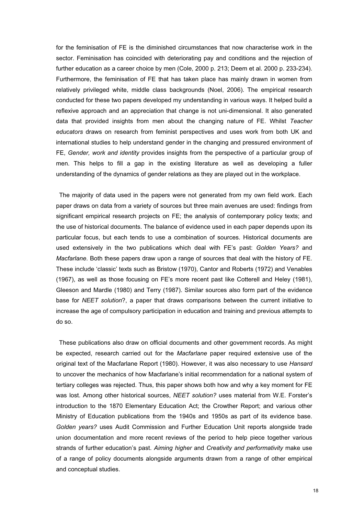for the feminisation of FE is the diminished circumstances that now characterise work in the sector. Feminisation has coincided with deteriorating pay and conditions and the rejection of further education as a career choice by men (Cole, 2000 p. 213; Deem et al. 2000 p. 233-234). Furthermore, the feminisation of FE that has taken place has mainly drawn in women from relatively privileged white, middle class backgrounds (Noel, 2006). The empirical research conducted for these two papers developed my understanding in various ways. It helped build a reflexive approach and an appreciation that change is not uni-dimensional. It also generated data that provided insights from men about the changing nature of FE. Whilst *Teacher educators* draws on research from feminist perspectives and uses work from both UK and international studies to help understand gender in the changing and pressured environment of FE, *Gender, work and identity* provides insights from the perspective of a particular group of men. This helps to fill a gap in the existing literature as well as developing a fuller understanding of the dynamics of gender relations as they are played out in the workplace.

The majority of data used in the papers were not generated from my own field work. Each paper draws on data from a variety of sources but three main avenues are used: findings from significant empirical research projects on FE; the analysis of contemporary policy texts; and the use of historical documents. The balance of evidence used in each paper depends upon its particular focus, but each tends to use a combination of sources. Historical documents are used extensively in the two publications which deal with FE's past: *Golden Years?* and *Macfarlane*. Both these papers draw upon a range of sources that deal with the history of FE. These include 'classic' texts such as Bristow (1970), Cantor and Roberts (1972) and Venables (1967), as well as those focusing on FE's more recent past like Cotterell and Heley (1981), Gleeson and Mardle (1980) and Terry (1987). Similar sources also form part of the evidence base for *NEET solution*?, a paper that draws comparisons between the current initiative to increase the age of compulsory participation in education and training and previous attempts to do so.

These publications also draw on official documents and other government records. As might be expected, research carried out for the *Macfarlane* paper required extensive use of the original text of the Macfarlane Report (1980). However, it was also necessary to use *Hansard* to uncover the mechanics of how Macfarlane's initial recommendation for a national system of tertiary colleges was rejected. Thus, this paper shows both how and why a key moment for FE was lost. Among other historical sources, *NEET solution?* uses material from W.E. Forster's introduction to the 1870 Elementary Education Act; the Crowther Report; and various other Ministry of Education publications from the 1940s and 1950s as part of its evidence base. *Golden years?* uses Audit Commission and Further Education Unit reports alongside trade union documentation and more recent reviews of the period to help piece together various strands of further education's past. *Aiming higher* and *Creativity and performativity* make use of a range of policy documents alongside arguments drawn from a range of other empirical and conceptual studies.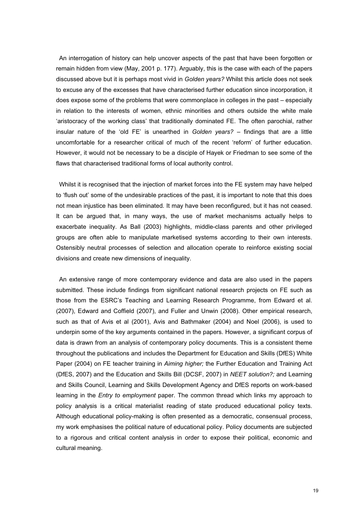An interrogation of history can help uncover aspects of the past that have been forgotten or remain hidden from view (May, 2001 p. 177). Arguably, this is the case with each of the papers discussed above but it is perhaps most vivid in *Golden years?* Whilst this article does not seek to excuse any of the excesses that have characterised further education since incorporation, it does expose some of the problems that were commonplace in colleges in the past – especially in relation to the interests of women, ethnic minorities and others outside the white male 'aristocracy of the working class' that traditionally dominated FE. The often parochial, rather insular nature of the 'old FE' is unearthed in *Golden years?* – findings that are a little uncomfortable for a researcher critical of much of the recent 'reform' of further education. However, it would not be necessary to be a disciple of Hayek or Friedman to see some of the flaws that characterised traditional forms of local authority control.

Whilst it is recognised that the injection of market forces into the FE system may have helped to 'flush out' some of the undesirable practices of the past, it is important to note that this does not mean injustice has been eliminated*.* It may have been reconfigured, but it has not ceased. It can be argued that, in many ways, the use of market mechanisms actually helps to exacerbate inequality. As Ball (2003) highlights, middle-class parents and other privileged groups are often able to manipulate marketised systems according to their own interests. Ostensibly neutral processes of selection and allocation operate to reinforce existing social divisions and create new dimensions of inequality.

An extensive range of more contemporary evidence and data are also used in the papers submitted. These include findings from significant national research projects on FE such as those from the ESRC's Teaching and Learning Research Programme, from Edward et al. (2007), Edward and Coffield (2007), and Fuller and Unwin (2008). Other empirical research, such as that of Avis et al (2001), Avis and Bathmaker (2004) and Noel (2006), is used to underpin some of the key arguments contained in the papers. However, a significant corpus of data is drawn from an analysis of contemporary policy documents. This is a consistent theme throughout the publications and includes the Department for Education and Skills (DfES) White Paper (2004) on FE teacher training in *Aiming higher;* the Further Education and Training Act (DfES, 2007) and the Education and Skills Bill (DCSF, 2007) in *NEET solution?;* and Learning and Skills Council, Learning and Skills Development Agency and DfES reports on work-based learning in the *Entry to employment* paper. The common thread which links my approach to policy analysis is a critical materialist reading of state produced educational policy texts. Although educational policy-making is often presented as a democratic, consensual process, my work emphasises the political nature of educational policy. Policy documents are subjected to a rigorous and critical content analysis in order to expose their political, economic and cultural meaning.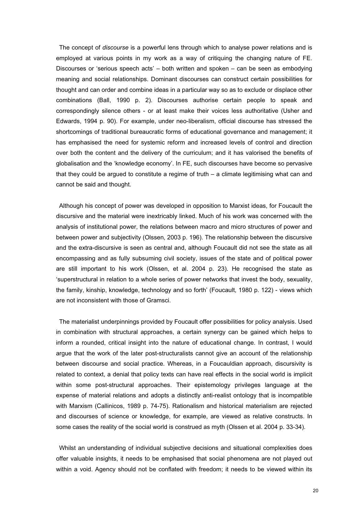The concept of *discourse* is a powerful lens through which to analyse power relations and is employed at various points in my work as a way of critiquing the changing nature of FE. Discourses or 'serious speech acts' – both written and spoken – can be seen as embodying meaning and social relationships. Dominant discourses can construct certain possibilities for thought and can order and combine ideas in a particular way so as to exclude or displace other combinations (Ball, 1990 p. 2). Discourses authorise certain people to speak and correspondingly silence others - or at least make their voices less authoritative (Usher and Edwards, 1994 p. 90). For example, under neo-liberalism, official discourse has stressed the shortcomings of traditional bureaucratic forms of educational governance and management; it has emphasised the need for systemic reform and increased levels of control and direction over both the content and the delivery of the curriculum; and it has valorised the benefits of globalisation and the 'knowledge economy'. In FE, such discourses have become so pervasive that they could be argued to constitute a regime of truth  $-$  a climate legitimising what can and cannot be said and thought.

Although his concept of power was developed in opposition to Marxist ideas, for Foucault the discursive and the material were inextricably linked. Much of his work was concerned with the analysis of institutional power, the relations between macro and micro structures of power and between power and subjectivity (Olssen, 2003 p. 196). The relationship between the discursive and the extra-discursive is seen as central and, although Foucault did not see the state as all encompassing and as fully subsuming civil society, issues of the state and of political power are still important to his work (Olssen, et al. 2004 p. 23). He recognised the state as 'superstructural in relation to a whole series of power networks that invest the body, sexuality, the family, kinship, knowledge, technology and so forth' (Foucault, 1980 p. 122) - views which are not inconsistent with those of Gramsci.

The materialist underpinnings provided by Foucault offer possibilities for policy analysis. Used in combination with structural approaches, a certain synergy can be gained which helps to inform a rounded, critical insight into the nature of educational change. In contrast, I would argue that the work of the later post-structuralists cannot give an account of the relationship between discourse and social practice. Whereas, in a Foucauldian approach, discursivity is related to context, a denial that policy texts can have real effects in the social world is implicit within some post-structural approaches. Their epistemology privileges language at the expense of material relations and adopts a distinctly anti-realist ontology that is incompatible with Marxism (Callinicos, 1989 p. 74-75). Rationalism and historical materialism are rejected and discourses of science or knowledge, for example, are viewed as relative constructs. In some cases the reality of the social world is construed as myth (Olssen et al. 2004 p. 33-34).

Whilst an understanding of individual subjective decisions and situational complexities does offer valuable insights, it needs to be emphasised that social phenomena are not played out within a void. Agency should not be conflated with freedom; it needs to be viewed within its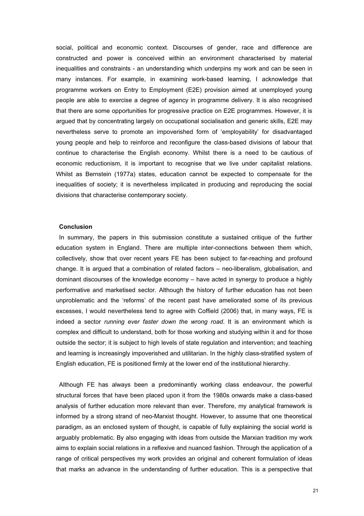social, political and economic context. Discourses of gender, race and difference are constructed and power is conceived within an environment characterised by material inequalities and constraints - an understanding which underpins my work and can be seen in many instances. For example, in examining work-based learning, I acknowledge that programme workers on Entry to Employment (E2E) provision aimed at unemployed young people are able to exercise a degree of agency in programme delivery. It is also recognised that there are some opportunities for progressive practice on E2E programmes. However, it is argued that by concentrating largely on occupational socialisation and generic skills, E2E may nevertheless serve to promote an impoverished form of 'employability' for disadvantaged young people and help to reinforce and reconfigure the class-based divisions of labour that continue to characterise the English economy. Whilst there is a need to be cautious of economic reductionism, it is important to recognise that we live under capitalist relations. Whilst as Bernstein (1977a) states, education cannot be expected to compensate for the inequalities of society; it is nevertheless implicated in producing and reproducing the social divisions that characterise contemporary society.

### **Conclusion**

In summary, the papers in this submission constitute a sustained critique of the further education system in England. There are multiple inter-connections between them which, collectively, show that over recent years FE has been subject to far-reaching and profound change. It is argued that a combination of related factors – neo-liberalism, globalisation, and dominant discourses of the knowledge economy – have acted in synergy to produce a highly performative and marketised sector. Although the history of further education has not been unproblematic and the 'reforms' of the recent past have ameliorated some of its previous excesses, I would nevertheless tend to agree with Coffield (2006) that, in many ways, FE is indeed a sector *running ever faster down the wrong road*. It is an environment which is complex and difficult to understand, both for those working and studying within it and for those outside the sector; it is subject to high levels of state regulation and intervention; and teaching and learning is increasingly impoverished and utilitarian. In the highly class-stratified system of English education, FE is positioned firmly at the lower end of the institutional hierarchy.

Although FE has always been a predominantly working class endeavour, the powerful structural forces that have been placed upon it from the 1980s onwards make a class-based analysis of further education more relevant than ever. Therefore, my analytical framework is informed by a strong strand of neo-Marxist thought. However, to assume that one theoretical paradigm, as an enclosed system of thought, is capable of fully explaining the social world is arguably problematic. By also engaging with ideas from outside the Marxian tradition my work aims to explain social relations in a reflexive and nuanced fashion. Through the application of a range of critical perspectives my work provides an original and coherent formulation of ideas that marks an advance in the understanding of further education. This is a perspective that